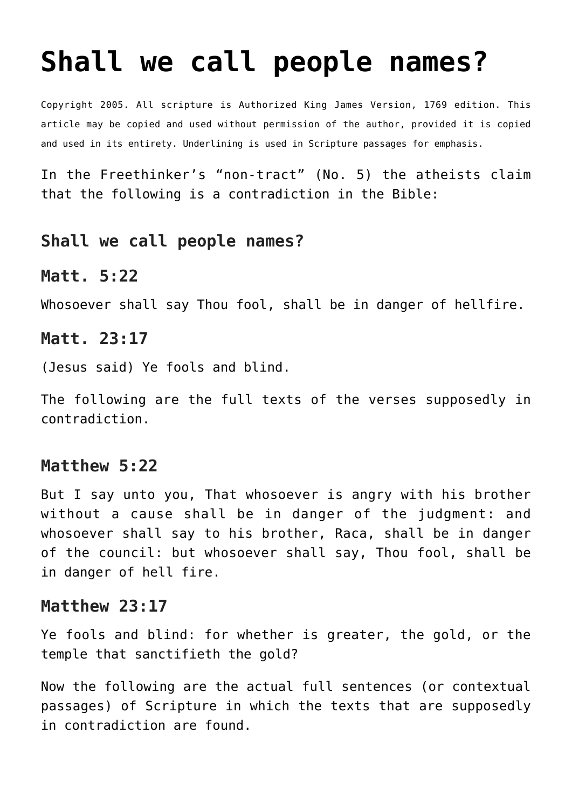# **[Shall we call people names?](http://reproachofmen.org/apologetics/shall-we-call-people-names/)**

Copyright 2005. All scripture is Authorized King James Version, 1769 edition. This article may be copied and used without permission of the author, provided it is copied and used in its entirety. Underlining is used in Scripture passages for emphasis.

In the Freethinker's "non-tract" (No. 5) the atheists claim that the following is a contradiction in the Bible:

## **Shall we call people names?**

#### **Matt. 5:22**

Whosoever shall say Thou fool, shall be in danger of hellfire.

#### **Matt. 23:17**

(Jesus said) Ye fools and blind.

The following are the full texts of the verses supposedly in contradiction.

#### **Matthew 5:22**

But I say unto you, That whosoever is angry with his brother without a cause shall be in danger of the judgment: and whosoever shall say to his brother, Raca, shall be in danger of the council: but whosoever shall say, Thou fool, shall be in danger of hell fire.

#### **Matthew 23:17**

Ye fools and blind: for whether is greater, the gold, or the temple that sanctifieth the gold?

Now the following are the actual full sentences (or contextual passages) of Scripture in which the texts that are supposedly in contradiction are found.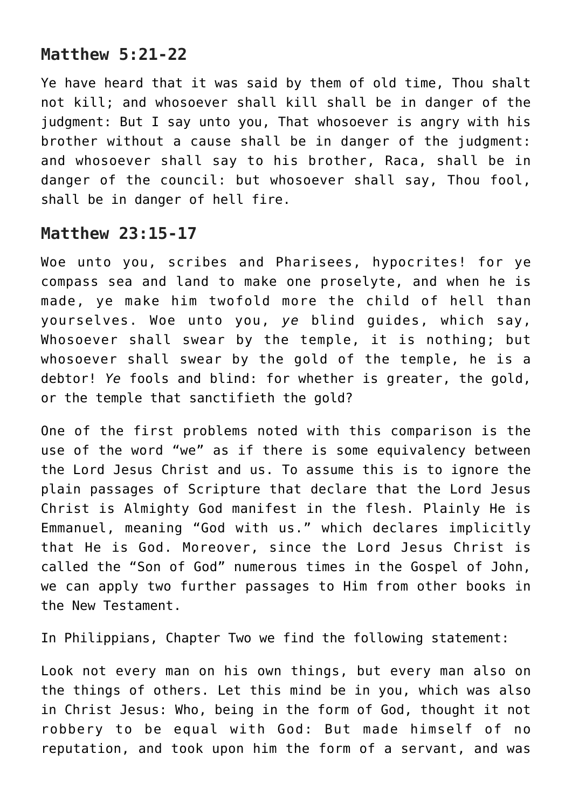## **Matthew 5:21-22**

Ye have heard that it was said by them of old time, Thou shalt not kill; and whosoever shall kill shall be in danger of the judgment: But I say unto you, That whosoever is angry with his brother without a cause shall be in danger of the judgment: and whosoever shall say to his brother, Raca, shall be in danger of the council: but whosoever shall say, Thou fool, shall be in danger of hell fire.

## **Matthew 23:15-17**

Woe unto you, scribes and Pharisees, hypocrites! for ye compass sea and land to make one proselyte, and when he is made, ye make him twofold more the child of hell than yourselves. Woe unto you, *ye* blind guides, which say, Whosoever shall swear by the temple, it is nothing; but whosoever shall swear by the gold of the temple, he is a debtor! *Ye* fools and blind: for whether is greater, the gold, or the temple that sanctifieth the gold?

One of the first problems noted with this comparison is the use of the word "we" as if there is some equivalency between the Lord Jesus Christ and us. To assume this is to ignore the plain passages of Scripture that declare that the Lord Jesus Christ is Almighty God manifest in the flesh. Plainly He is Emmanuel, meaning "God with us." which declares implicitly that He is God. Moreover, since the Lord Jesus Christ is called the "Son of God" numerous times in the Gospel of John, we can apply two further passages to Him from other books in the New Testament.

In Philippians, Chapter Two we find the following statement:

Look not every man on his own things, but every man also on the things of others. Let this mind be in you, which was also in Christ Jesus: Who, being in the form of God, thought it not robbery to be equal with God: But made himself of no reputation, and took upon him the form of a servant, and was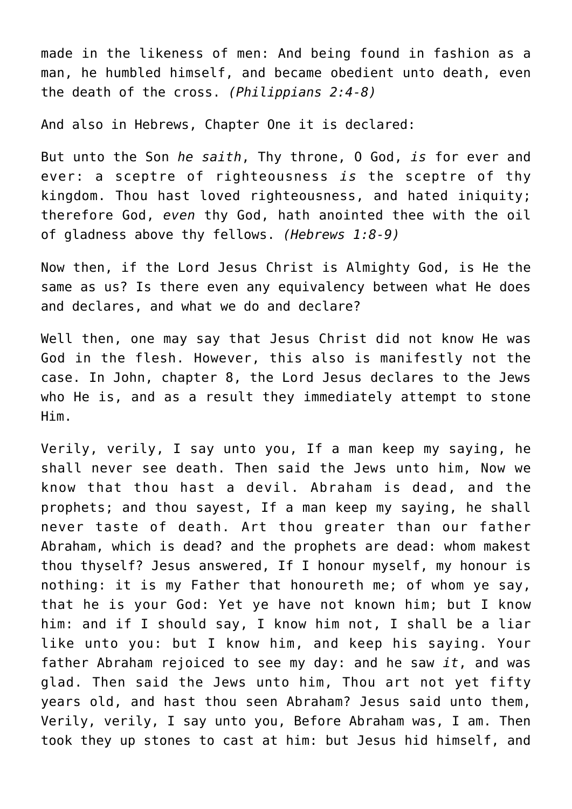made in the likeness of men: And being found in fashion as a man, he humbled himself, and became obedient unto death, even the death of the cross. *(Philippians 2:4-8)*

And also in Hebrews, Chapter One it is declared:

But unto the Son *he saith*, Thy throne, O God, *is* for ever and ever: a sceptre of righteousness *is* the sceptre of thy kingdom. Thou hast loved righteousness, and hated iniquity; therefore God, *even* thy God, hath anointed thee with the oil of gladness above thy fellows. *(Hebrews 1:8-9)*

Now then, if the Lord Jesus Christ is Almighty God, is He the same as us? Is there even any equivalency between what He does and declares, and what we do and declare?

Well then, one may say that Jesus Christ did not know He was God in the flesh. However, this also is manifestly not the case. In John, chapter 8, the Lord Jesus declares to the Jews who He is, and as a result they immediately attempt to stone Him.

Verily, verily, I say unto you, If a man keep my saying, he shall never see death. Then said the Jews unto him, Now we know that thou hast a devil. Abraham is dead, and the prophets; and thou sayest, If a man keep my saying, he shall never taste of death. Art thou greater than our father Abraham, which is dead? and the prophets are dead: whom makest thou thyself? Jesus answered, If I honour myself, my honour is nothing: it is my Father that honoureth me; of whom ye say, that he is your God: Yet ye have not known him; but I know him: and if I should say, I know him not, I shall be a liar like unto you: but I know him, and keep his saying. Your father Abraham rejoiced to see my day: and he saw *it*, and was glad. Then said the Jews unto him, Thou art not yet fifty years old, and hast thou seen Abraham? Jesus said unto them, Verily, verily, I say unto you, Before Abraham was, I am. Then took they up stones to cast at him: but Jesus hid himself, and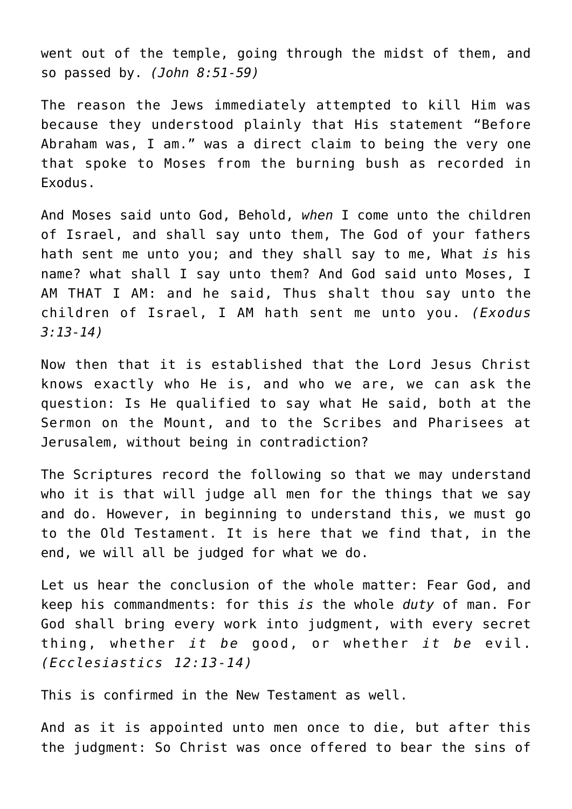went out of the temple, going through the midst of them, and so passed by. *(John 8:51-59)*

The reason the Jews immediately attempted to kill Him was because they understood plainly that His statement "Before Abraham was, I am." was a direct claim to being the very one that spoke to Moses from the burning bush as recorded in Exodus.

And Moses said unto God, Behold, *when* I come unto the children of Israel, and shall say unto them, The God of your fathers hath sent me unto you; and they shall say to me, What *is* his name? what shall I say unto them? And God said unto Moses, I AM THAT I AM: and he said, Thus shalt thou say unto the children of Israel, I AM hath sent me unto you. *(Exodus 3:13-14)*

Now then that it is established that the Lord Jesus Christ knows exactly who He is, and who we are, we can ask the question: Is He qualified to say what He said, both at the Sermon on the Mount, and to the Scribes and Pharisees at Jerusalem, without being in contradiction?

The Scriptures record the following so that we may understand who it is that will judge all men for the things that we say and do. However, in beginning to understand this, we must go to the Old Testament. It is here that we find that, in the end, we will all be judged for what we do.

Let us hear the conclusion of the whole matter: Fear God, and keep his commandments: for this *is* the whole *duty* of man. For God shall bring every work into judgment, with every secret thing, whether *it be* good, or whether *it be* evil. *(Ecclesiastics 12:13-14)*

This is confirmed in the New Testament as well.

And as it is appointed unto men once to die, but after this the judgment: So Christ was once offered to bear the sins of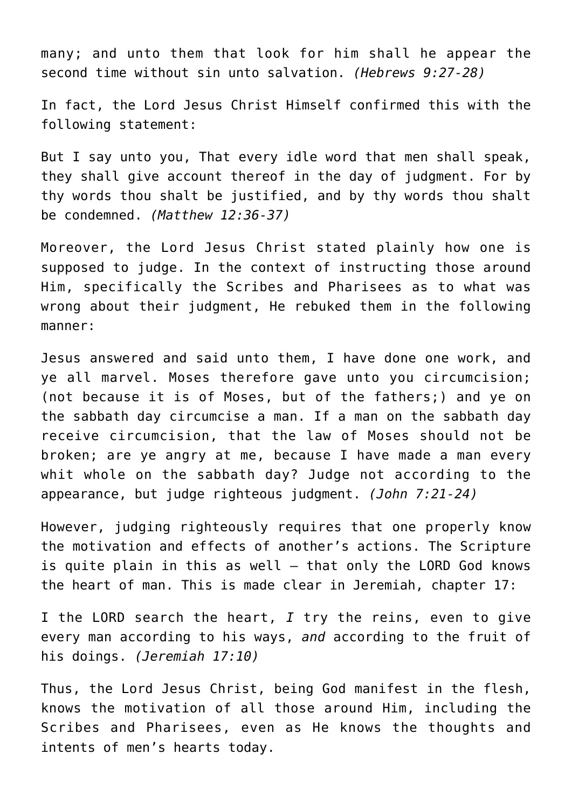many; and unto them that look for him shall he appear the second time without sin unto salvation. *(Hebrews 9:27-28)*

In fact, the Lord Jesus Christ Himself confirmed this with the following statement:

But I say unto you, That every idle word that men shall speak, they shall give account thereof in the day of judgment. For by thy words thou shalt be justified, and by thy words thou shalt be condemned. *(Matthew 12:36-37)*

Moreover, the Lord Jesus Christ stated plainly how one is supposed to judge. In the context of instructing those around Him, specifically the Scribes and Pharisees as to what was wrong about their judgment, He rebuked them in the following manner:

Jesus answered and said unto them, I have done one work, and ye all marvel. Moses therefore gave unto you circumcision; (not because it is of Moses, but of the fathers;) and ye on the sabbath day circumcise a man. If a man on the sabbath day receive circumcision, that the law of Moses should not be broken; are ye angry at me, because I have made a man every whit whole on the sabbath day? Judge not according to the appearance, but judge righteous judgment. *(John 7:21-24)*

However, judging righteously requires that one properly know the motivation and effects of another's actions. The Scripture is quite plain in this as well — that only the LORD God knows the heart of man. This is made clear in Jeremiah, chapter 17:

I the LORD search the heart, *I* try the reins, even to give every man according to his ways, *and* according to the fruit of his doings. *(Jeremiah 17:10)*

Thus, the Lord Jesus Christ, being God manifest in the flesh, knows the motivation of all those around Him, including the Scribes and Pharisees, even as He knows the thoughts and intents of men's hearts today.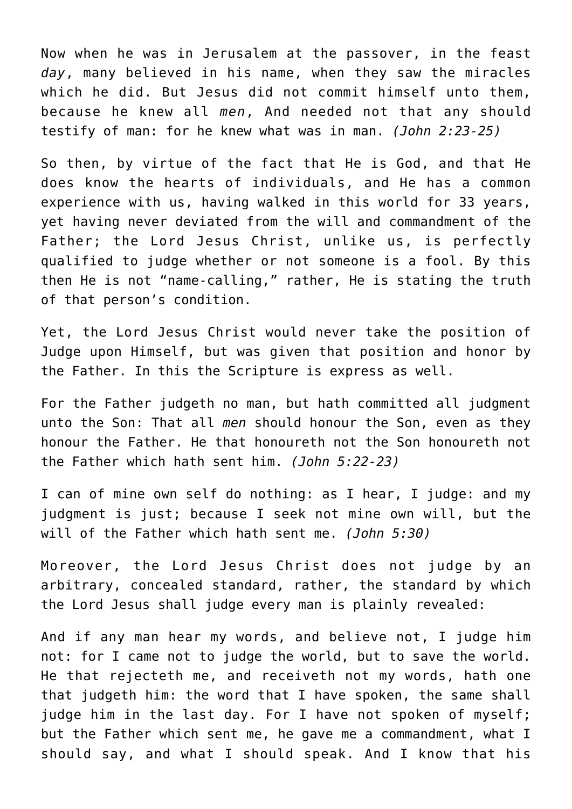Now when he was in Jerusalem at the passover, in the feast *day*, many believed in his name, when they saw the miracles which he did. But Jesus did not commit himself unto them, because he knew all *men*, And needed not that any should testify of man: for he knew what was in man. *(John 2:23-25)*

So then, by virtue of the fact that He is God, and that He does know the hearts of individuals, and He has a common experience with us, having walked in this world for 33 years, yet having never deviated from the will and commandment of the Father; the Lord Jesus Christ, unlike us, is perfectly qualified to judge whether or not someone is a fool. By this then He is not "name-calling," rather, He is stating the truth of that person's condition.

Yet, the Lord Jesus Christ would never take the position of Judge upon Himself, but was given that position and honor by the Father. In this the Scripture is express as well.

For the Father judgeth no man, but hath committed all judgment unto the Son: That all *men* should honour the Son, even as they honour the Father. He that honoureth not the Son honoureth not the Father which hath sent him. *(John 5:22-23)*

I can of mine own self do nothing: as I hear, I judge: and my judgment is just; because I seek not mine own will, but the will of the Father which hath sent me. *(John 5:30)*

Moreover, the Lord Jesus Christ does not judge by an arbitrary, concealed standard, rather, the standard by which the Lord Jesus shall judge every man is plainly revealed:

And if any man hear my words, and believe not, I judge him not: for I came not to judge the world, but to save the world. He that rejecteth me, and receiveth not my words, hath one that judgeth him: the word that I have spoken, the same shall judge him in the last day. For I have not spoken of myself; but the Father which sent me, he gave me a commandment, what I should say, and what I should speak. And I know that his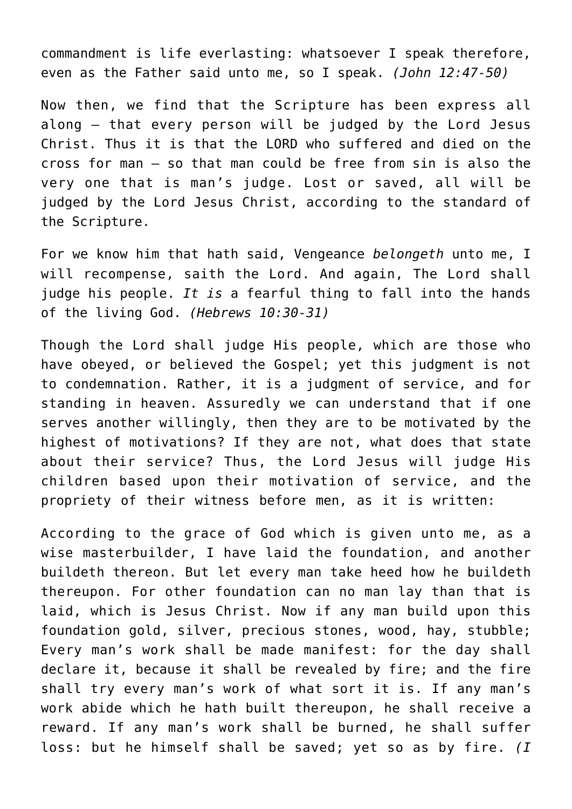commandment is life everlasting: whatsoever I speak therefore, even as the Father said unto me, so I speak. *(John 12:47-50)*

Now then, we find that the Scripture has been express all along — that every person will be judged by the Lord Jesus Christ. Thus it is that the LORD who suffered and died on the cross for man — so that man could be free from sin is also the very one that is man's judge. Lost or saved, all will be judged by the Lord Jesus Christ, according to the standard of the Scripture.

For we know him that hath said, Vengeance *belongeth* unto me, I will recompense, saith the Lord. And again, The Lord shall judge his people. *It is* a fearful thing to fall into the hands of the living God. *(Hebrews 10:30-31)*

Though the Lord shall judge His people, which are those who have obeyed, or believed the Gospel; yet this judgment is not to condemnation. Rather, it is a judgment of service, and for standing in heaven. Assuredly we can understand that if one serves another willingly, then they are to be motivated by the highest of motivations? If they are not, what does that state about their service? Thus, the Lord Jesus will judge His children based upon their motivation of service, and the propriety of their witness before men, as it is written:

According to the grace of God which is given unto me, as a wise masterbuilder, I have laid the foundation, and another buildeth thereon. But let every man take heed how he buildeth thereupon. For other foundation can no man lay than that is laid, which is Jesus Christ. Now if any man build upon this foundation gold, silver, precious stones, wood, hay, stubble; Every man's work shall be made manifest: for the day shall declare it, because it shall be revealed by fire; and the fire shall try every man's work of what sort it is. If any man's work abide which he hath built thereupon, he shall receive a reward. If any man's work shall be burned, he shall suffer loss: but he himself shall be saved; yet so as by fire. *(I*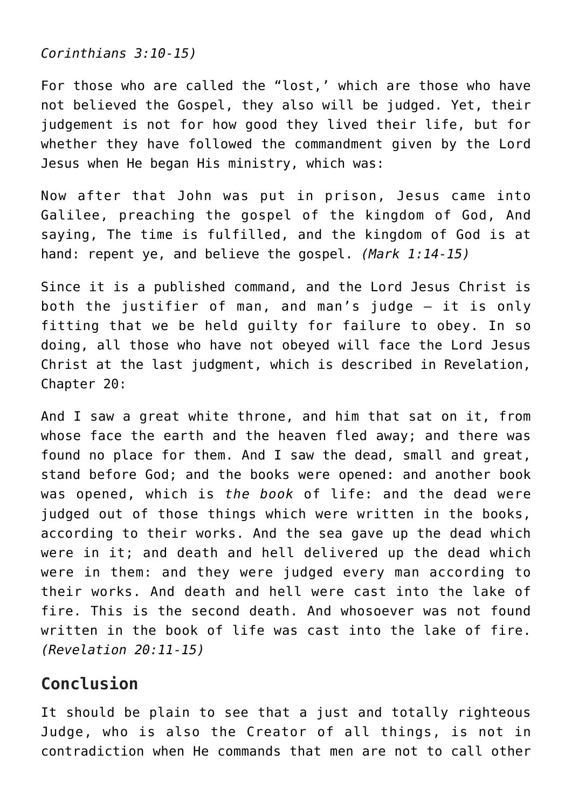*Corinthians 3:10-15)*

For those who are called the "lost,' which are those who have not believed the Gospel, they also will be judged. Yet, their judgement is not for how good they lived their life, but for whether they have followed the commandment given by the Lord Jesus when He began His ministry, which was:

Now after that John was put in prison, Jesus came into Galilee, preaching the gospel of the kingdom of God, And saying, The time is fulfilled, and the kingdom of God is at hand: repent ye, and believe the gospel. *(Mark 1:14-15)*

Since it is a published command, and the Lord Jesus Christ is both the justifier of man, and man's judge — it is only fitting that we be held guilty for failure to obey. In so doing, all those who have not obeyed will face the Lord Jesus Christ at the last judgment, which is described in Revelation, Chapter 20:

And I saw a great white throne, and him that sat on it, from whose face the earth and the heaven fled away; and there was found no place for them. And I saw the dead, small and great, stand before God; and the books were opened: and another book was opened, which is *the book* of life: and the dead were judged out of those things which were written in the books, according to their works. And the sea gave up the dead which were in it; and death and hell delivered up the dead which were in them: and they were judged every man according to their works. And death and hell were cast into the lake of fire. This is the second death. And whosoever was not found written in the book of life was cast into the lake of fire. *(Revelation 20:11-15)*

# **Conclusion**

It should be plain to see that a just and totally righteous Judge, who is also the Creator of all things, is not in contradiction when He commands that men are not to call other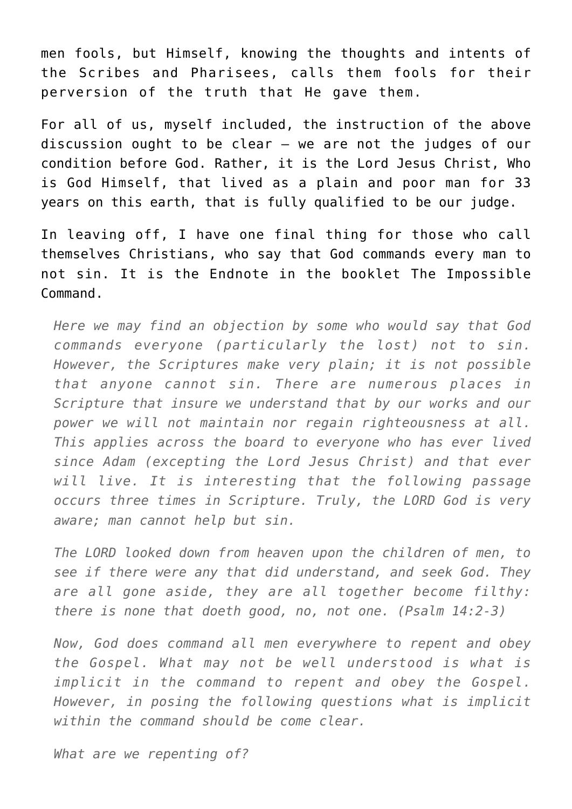men fools, but Himself, knowing the thoughts and intents of the Scribes and Pharisees, calls them fools for their perversion of the truth that He gave them.

For all of us, myself included, the instruction of the above discussion ought to be clear — we are not the judges of our condition before God. Rather, it is the Lord Jesus Christ, Who is God Himself, that lived as a plain and poor man for 33 years on this earth, that is fully qualified to be our judge.

In leaving off, I have one final thing for those who call themselves Christians, who say that God commands every man to not sin. It is the Endnote in the booklet [The Impossible](http://www.reproachofmen.org/doctrines/the-impossible-command/) [Command](http://www.reproachofmen.org/doctrines/the-impossible-command/).

*Here we may find an objection by some who would say that God commands everyone (particularly the lost) not to sin. However, the Scriptures make very plain; it is not possible that anyone cannot sin. There are numerous places in Scripture that insure we understand that by our works and our power we will not maintain nor regain righteousness at all. This applies across the board to everyone who has ever lived since Adam (excepting the Lord Jesus Christ) and that ever will live. It is interesting that the following passage occurs three times in Scripture. Truly, the LORD God is very aware; man cannot help but sin.*

*The LORD looked down from heaven upon the children of men, to see if there were any that did understand, and seek God. They are all gone aside, they are all together become filthy: there is none that doeth good, no, not one. (Psalm 14:2-3)*

*Now, God does command all men everywhere to repent and obey the Gospel. What may not be well understood is what is implicit in the command to repent and obey the Gospel. However, in posing the following questions what is implicit within the command should be come clear.*

*What are we repenting of?*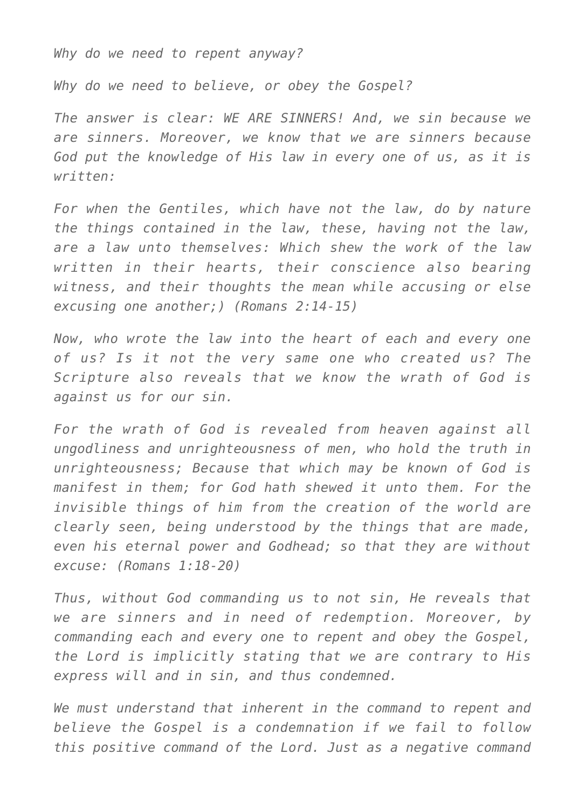*Why do we need to repent anyway?*

*Why do we need to believe, or obey the Gospel?*

*The answer is clear: WE ARE SINNERS! And, we sin because we are sinners. Moreover, we know that we are sinners because God put the knowledge of His law in every one of us, as it is written:*

*For when the Gentiles, which have not the law, do by nature the things contained in the law, these, having not the law, are a law unto themselves: Which shew the work of the law written in their hearts, their conscience also bearing witness, and their thoughts the mean while accusing or else excusing one another;) (Romans 2:14-15)*

*Now, who wrote the law into the heart of each and every one of us? Is it not the very same one who created us? The Scripture also reveals that we know the wrath of God is against us for our sin.*

*For the wrath of God is revealed from heaven against all ungodliness and unrighteousness of men, who hold the truth in unrighteousness; Because that which may be known of God is manifest in them; for God hath shewed it unto them. For the invisible things of him from the creation of the world are clearly seen, being understood by the things that are made, even his eternal power and Godhead; so that they are without excuse: (Romans 1:18-20)*

*Thus, without God commanding us to not sin, He reveals that we are sinners and in need of redemption. Moreover, by commanding each and every one to repent and obey the Gospel, the Lord is implicitly stating that we are contrary to His express will and in sin, and thus condemned.*

*We must understand that inherent in the command to repent and believe the Gospel is a condemnation if we fail to follow this positive command of the Lord. Just as a negative command*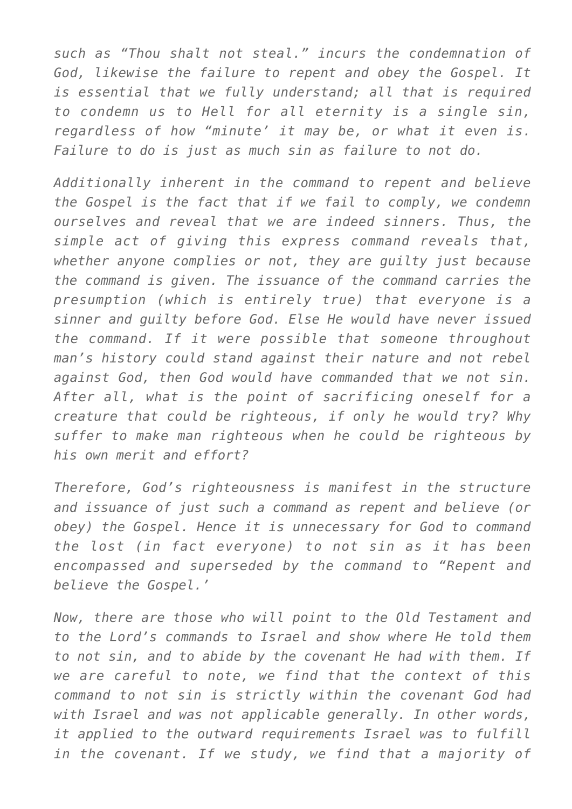*such as "Thou shalt not steal." incurs the condemnation of God, likewise the failure to repent and obey the Gospel. It is essential that we fully understand; all that is required to condemn us to Hell for all eternity is a single sin, regardless of how "minute' it may be, or what it even is. Failure to do is just as much sin as failure to not do.*

*Additionally inherent in the command to repent and believe the Gospel is the fact that if we fail to comply, we condemn ourselves and reveal that we are indeed sinners. Thus, the simple act of giving this express command reveals that, whether anyone complies or not, they are guilty just because the command is given. The issuance of the command carries the presumption (which is entirely true) that everyone is a sinner and guilty before God. Else He would have never issued the command. If it were possible that someone throughout man's history could stand against their nature and not rebel against God, then God would have commanded that we not sin. After all, what is the point of sacrificing oneself for a creature that could be righteous, if only he would try? Why suffer to make man righteous when he could be righteous by his own merit and effort?*

*Therefore, God's righteousness is manifest in the structure and issuance of just such a command as repent and believe (or obey) the Gospel. Hence it is unnecessary for God to command the lost (in fact everyone) to not sin as it has been encompassed and superseded by the command to "Repent and believe the Gospel.'*

*Now, there are those who will point to the Old Testament and to the Lord's commands to Israel and show where He told them to not sin, and to abide by the covenant He had with them. If we are careful to note, we find that the context of this command to not sin is strictly within the covenant God had with Israel and was not applicable generally. In other words, it applied to the outward requirements Israel was to fulfill in the covenant. If we study, we find that a majority of*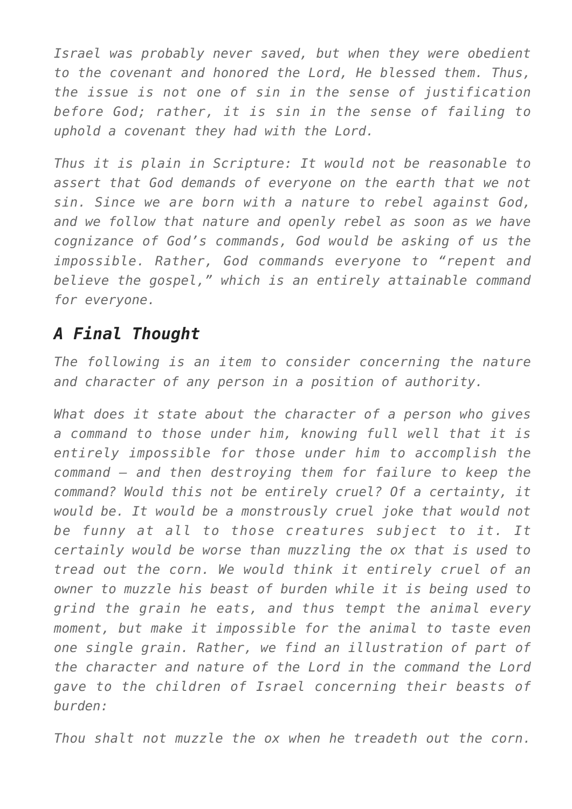*Israel was probably never saved, but when they were obedient to the covenant and honored the Lord, He blessed them. Thus, the issue is not one of sin in the sense of justification before God; rather, it is sin in the sense of failing to uphold a covenant they had with the Lord.*

*Thus it is plain in Scripture: It would not be reasonable to assert that God demands of everyone on the earth that we not sin. Since we are born with a nature to rebel against God, and we follow that nature and openly rebel as soon as we have cognizance of God's commands, God would be asking of us the impossible. Rather, God commands everyone to "repent and believe the gospel," which is an entirely attainable command for everyone.*

# *A Final Thought*

*The following is an item to consider concerning the nature and character of any person in a position of authority.*

*What does it state about the character of a person who gives a command to those under him, knowing full well that it is entirely impossible for those under him to accomplish the command — and then destroying them for failure to keep the command? Would this not be entirely cruel? Of a certainty, it would be. It would be a monstrously cruel joke that would not be funny at all to those creatures subject to it. It certainly would be worse than muzzling the ox that is used to tread out the corn. We would think it entirely cruel of an owner to muzzle his beast of burden while it is being used to grind the grain he eats, and thus tempt the animal every moment, but make it impossible for the animal to taste even one single grain. Rather, we find an illustration of part of the character and nature of the Lord in the command the Lord gave to the children of Israel concerning their beasts of burden:*

*Thou shalt not muzzle the ox when he treadeth out the corn.*